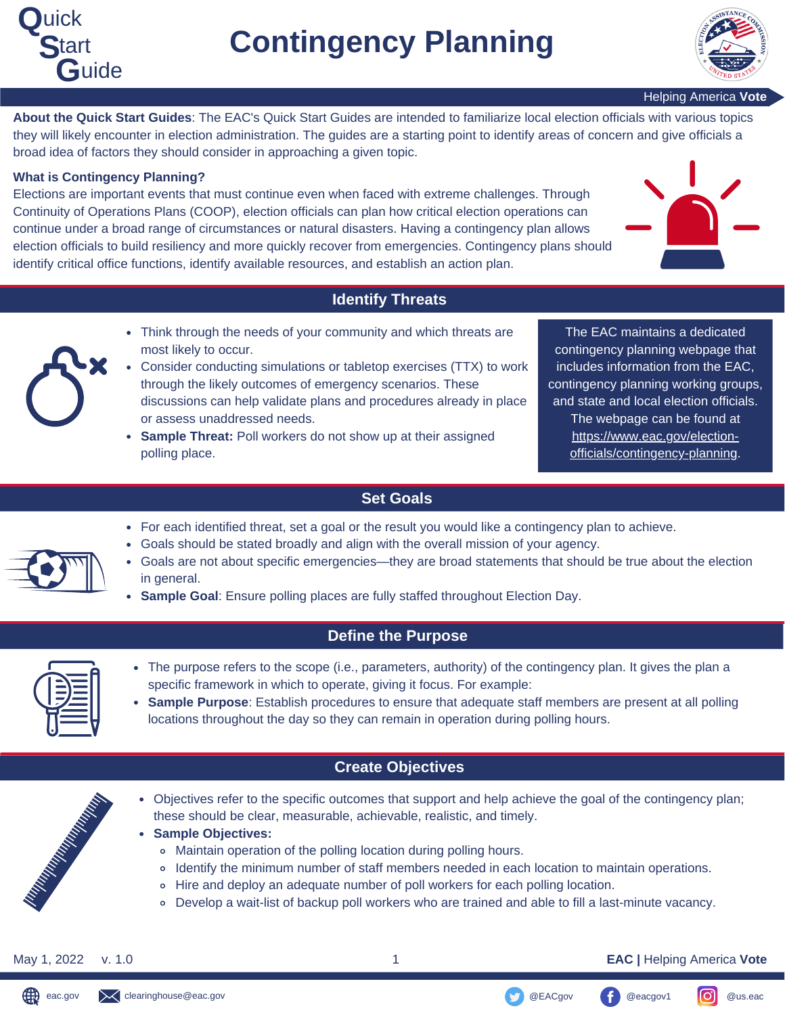



Helping America **Vote**

**About the Quick Start Guides**: The EAC's Quick Start Guides are intended to familiarize local election officials with various topics they will likely encounter in election administration. The guides are a starting point to identify areas of concern and give officials a broad idea of factors they should consider in approaching a given topic.

#### **What is Contingency Planning?**

Elections are important events that must continue even when faced with extreme challenges. Through Continuity of Operations Plans (COOP), election officials can plan how critical election operations can continue under a broad range of circumstances or natural disasters. Having a contingency plan allows election officials to build resiliency and more quickly recover from emergencies. Contingency plans should identify critical office functions, identify available resources, and establish an action plan.



## **Identify Threats**

- 
- Think through the needs of your community and which threats are most likely to occur.
- Consider conducting simulations or tabletop exercises (TTX) to work through the likely outcomes of emergency scenarios. These discussions can help validate plans and procedures already in place or assess unaddressed needs.
- **Sample Threat:** Poll workers do not show up at their assigned polling place.

The EAC maintains a dedicated contingency planning webpage that includes information from the EAC, contingency planning working groups, and state and local election officials. The webpage can be found at https://www.eac.gov/election[officials/contingency-planning.](https://www.eac.gov/election-officials/contingency-planning)

## **Set Goals**

- For each identified threat, set a goal or the result you would like a contingency plan to achieve.
- Goals should be stated broadly and align with the overall mission of your agency.
- Goals are not about specific emergencies—they are broad statements that should be true about the election in general.
- **Sample Goal**: Ensure polling places are fully staffed throughout Election Day.

### **Define the Purpose**

- The purpose refers to the scope (i.e., parameters, authority) of the contingency plan. It gives the plan a specific framework in which to operate, giving it focus. For example:
- **Sample Purpose**: Establish procedures to ensure that adequate staff members are present at all polling locations throughout the day so they can remain in operation during polling hours.

## **Create Objectives**

- Objectives refer to the specific outcomes that support and help achieve the goal of the contingency plan; these should be clear, measurable, achievable, realistic, and timely.
- **Sample Objectives:**
	- Maintain operation of the polling location during polling hours.
	- Identify the minimum number of staff members needed in each location to maintain operations.
	- Hire and deploy an adequate number of poll workers for each polling location.
	- Develop a wait-list of backup poll workers who are trained and able to fill a last-minute vacancy.

∰

May 1, 2022 v. 1.0 1 **EAC |** Helping America **Vote**